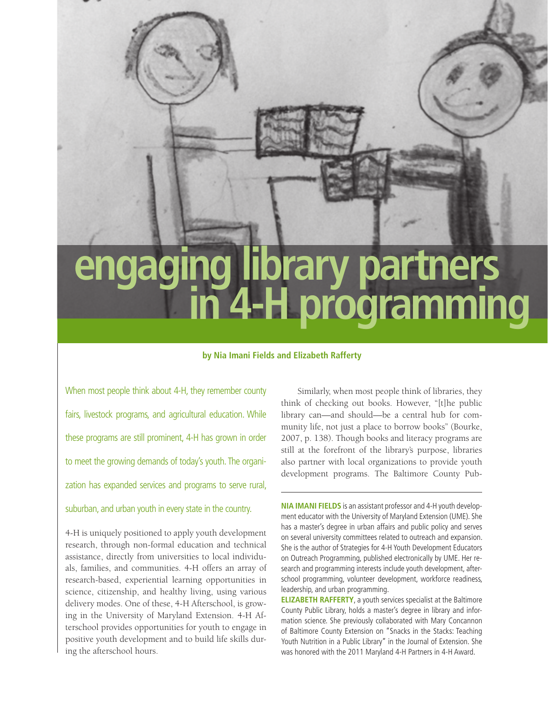# **engaging library partners in 4-H programming**

## **by Nia Imani Fields and Elizabeth Rafferty**

When most people think about 4-H, they remember county fairs, livestock programs, and agricultural education. While these programs are still prominent, 4-H has grown in order to meet the growing demands of today's youth. The organization has expanded services and programs to serve rural, suburban, and urban youth in every state in the country.

4-H is uniquely positioned to apply youth development research, through non-formal education and technical assistance, directly from universities to local individuals, families, and communities. 4-H offers an array of research-based, experiential learning opportunities in science, citizenship, and healthy living, using various delivery modes. One of these, 4-H Afterschool, is growing in the University of Maryland Extension. 4-H Afterschool provides opportunities for youth to engage in positive youth development and to build life skills during the afterschool hours.

Similarly, when most people think of libraries, they think of checking out books. However, "[t]he public library can—and should—be a central hub for community life, not just a place to borrow books" (Bourke, 2007, p. 138). Though books and literacy programs are still at the forefront of the library's purpose, libraries also partner with local organizations to provide youth development programs. The Baltimore County Pub-

**NIA IMANI FIELDS** is an assistant professor and 4-H youth development educator with the University of Maryland Extension (UME). She has a master's degree in urban affairs and public policy and serves on several university committees related to outreach and expansion. She is the author of Strategies for 4-H Youth Development Educators on Outreach Programming, published electronically by UME. Her research and programming interests include youth development, afterschool programming, volunteer development, workforce readiness, leadership, and urban programming.

**ELIZABETH RAFFERTY**, a youth services specialist at the Baltimore County Public Library, holds a master's degree in library and information science. She previously collaborated with Mary Concannon of Baltimore County Extension on "Snacks in the Stacks: Teaching Youth Nutrition in a Public Library" in the Journal of Extension. She was honored with the 2011 Maryland 4-H Partners in 4-H Award.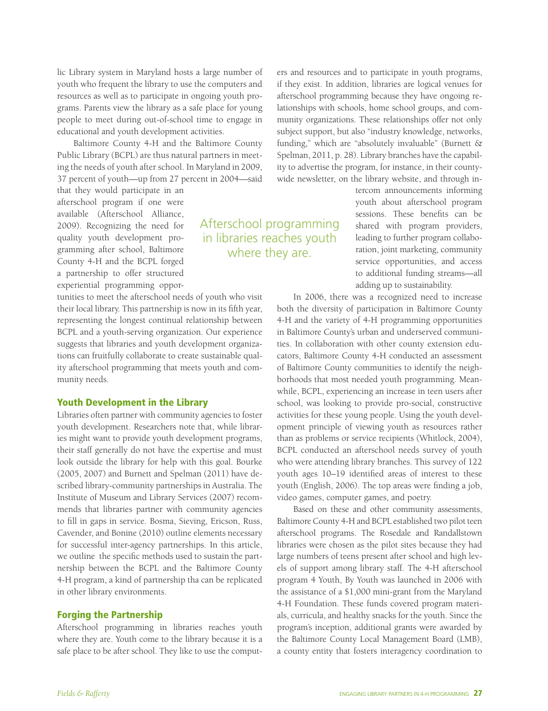lic Library system in Maryland hosts a large number of youth who frequent the library to use the computers and resources as well as to participate in ongoing youth programs. Parents view the library as a safe place for young people to meet during out-of-school time to engage in educational and youth development activities.

Baltimore County 4-H and the Baltimore County Public Library (BCPL) are thus natural partners in meeting the needs of youth after school. In Maryland in 2009, 37 percent of youth—up from 27 percent in 2004—said

that they would participate in an afterschool program if one were available (Afterschool Alliance, 2009). Recognizing the need for quality youth development programming after school, Baltimore County 4-H and the BCPL forged a partnership to offer structured experiential programming oppor-

tunities to meet the afterschool needs of youth who visit their local library. This partnership is now in its fifth year, representing the longest continual relationship between BCPL and a youth-serving organization. Our experience suggests that libraries and youth development organizations can fruitfully collaborate to create sustainable quality afterschool programming that meets youth and community needs.

# Youth Development in the Library

Libraries often partner with community agencies to foster youth development. Researchers note that, while libraries might want to provide youth development programs, their staff generally do not have the expertise and must look outside the library for help with this goal. Bourke (2005, 2007) and Burnett and Spelman (2011) have described library-community partnerships in Australia. The Institute of Museum and Library Services (2007) recommends that libraries partner with community agencies to fill in gaps in service. Bosma, Sieving, Ericson, Russ, Cavender, and Bonine (2010) outline elements necessary for successful inter-agency partnerships. In this article, we outline the specific methods used to sustain the partnership between the BCPL and the Baltimore County 4-H program, a kind of partnership tha can be replicated in other library environments.

# Forging the Partnership

Afterschool programming in libraries reaches youth where they are. Youth come to the library because it is a safe place to be after school. They like to use the comput-

lationships with schools, home school groups, and community organizations. These relationships offer not only subject support, but also "industry knowledge, networks, funding," which are "absolutely invaluable" (Burnett & Spelman, 2011, p. 28). Library branches have the capability to advertise the program, for instance, in their countywide newsletter, on the library website, and through intercom announcements informing

Afterschool programming in libraries reaches youth where they are.

ers and resources and to participate in youth programs, if they exist. In addition, libraries are logical venues for afterschool programming because they have ongoing re-

> youth about afterschool program sessions. These benefits can be shared with program providers, leading to further program collaboration, joint marketing, community service opportunities, and access to additional funding streams—all adding up to sustainability.

In 2006, there was a recognized need to increase both the diversity of participation in Baltimore County 4-H and the variety of 4-H programming opportunities in Baltimore County's urban and underserved communities. In collaboration with other county extension educators, Baltimore County 4-H conducted an assessment of Baltimore County communities to identify the neighborhoods that most needed youth programming. Meanwhile, BCPL, experiencing an increase in teen users after school, was looking to provide pro-social, constructive activities for these young people. Using the youth development principle of viewing youth as resources rather than as problems or service recipients (Whitlock, 2004), BCPL conducted an afterschool needs survey of youth who were attending library branches. This survey of 122 youth ages 10–19 identified areas of interest to these youth (English, 2006). The top areas were finding a job, video games, computer games, and poetry.

Based on these and other community assessments, Baltimore County 4-H and BCPL established two pilot teen afterschool programs. The Rosedale and Randallstown libraries were chosen as the pilot sites because they had large numbers of teens present after school and high levels of support among library staff. The 4-H afterschool program 4 Youth, By Youth was launched in 2006 with the assistance of a \$1,000 mini-grant from the Maryland 4-H Foundation. These funds covered program materials, curricula, and healthy snacks for the youth. Since the program's inception, additional grants were awarded by the Baltimore County Local Management Board (LMB), a county entity that fosters interagency coordination to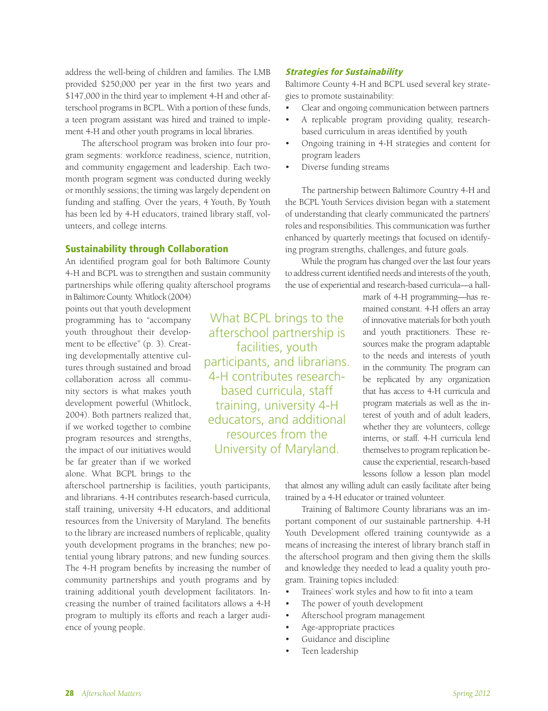address the well-being of children and families. The LMB provided \$250,000 per year in the first two years and \$147,000 in the third year to implement 4-H and other afterschool programs in BCPL. With a portion of these funds, a teen program assistant was hired and trained to implement 4-H and other youth programs in local libraries.

The afterschool program was broken into four program segments: workforce readiness, science, nutrition, and community engagement and leadership. Each twomonth program segment was conducted during weekly or monthly sessions; the timing was largely dependent on funding and staffing. Over the years, 4 Youth, By Youth has been led by 4-H educators, trained library staff, volunteers, and college interns.

### Sustainability through Collaboration

An identified program goal for both Baltimore County 4-H and BCPL was to strengthen and sustain community partnerships while offering quality afterschool programs

in Baltimore County. Whitlock (2004) points out that youth development programming has to "accompany youth throughout their development to be effective" (p. 3). Creating developmentally attentive cultures through sustained and broad collaboration across all community sectors is what makes youth development powerful (Whitlock, 2004). Both partners realized that, if we worked together to combine program resources and strengths, the impact of our initiatives would be far greater than if we worked alone. What BCPL brings to the

afterschool partnership is facilities, youth participants, and librarians. 4-H contributes research-based curricula, staff training, university 4-H educators, and additional resources from the University of Maryland. The benefits to the library are increased numbers of replicable, quality youth development programs in the branches; new potential young library patrons; and new funding sources. The 4-H program benefits by increasing the number of community partnerships and youth programs and by training additional youth development facilitators. Increasing the number of trained facilitators allows a 4-H program to multiply its efforts and reach a larger audience of young people.

Strategies for Sustainability

Baltimore County 4-H and BCPL used several key strategies to promote sustainability:

- Clear and ongoing communication between partners
- A replicable program providing quality, researchbased curriculum in areas identified by youth
- Ongoing training in 4-H strategies and content for program leaders
- Diverse funding streams

What BCPL brings to the afterschool partnership is facilities, youth participants, and librarians. 4-H contributes researchbased curricula, staff training, university 4-H educators, and additional resources from the University of Maryland.

The partnership between Baltimore Country 4-H and the BCPL Youth Services division began with a statement of understanding that clearly communicated the partners' roles and responsibilities. This communication was further enhanced by quarterly meetings that focused on identifying program strengths, challenges, and future goals.

While the program has changed over the last four years to address current identified needs and interests of the youth, the use of experiential and research-based curricula—a hall-

> mark of 4-H programming—has remained constant. 4-H offers an array of innovative materials for both youth and youth practitioners. These resources make the program adaptable to the needs and interests of youth in the community. The program can be replicated by any organization that has access to 4-H curricula and program materials as well as the interest of youth and of adult leaders, whether they are volunteers, college interns, or staff. 4-H curricula lend themselves to program replication because the experiential, research-based lessons follow a lesson plan model

that almost any willing adult can easily facilitate after being trained by a 4-H educator or trained volunteer.

Training of Baltimore County librarians was an important component of our sustainable partnership. 4-H Youth Development offered training countywide as a means of increasing the interest of library branch staff in the afterschool program and then giving them the skills and knowledge they needed to lead a quality youth program. Training topics included:

- Trainees' work styles and how to fit into a team
- The power of youth development
- Afterschool program management
- Age-appropriate practices
- Guidance and discipline
- Teen leadership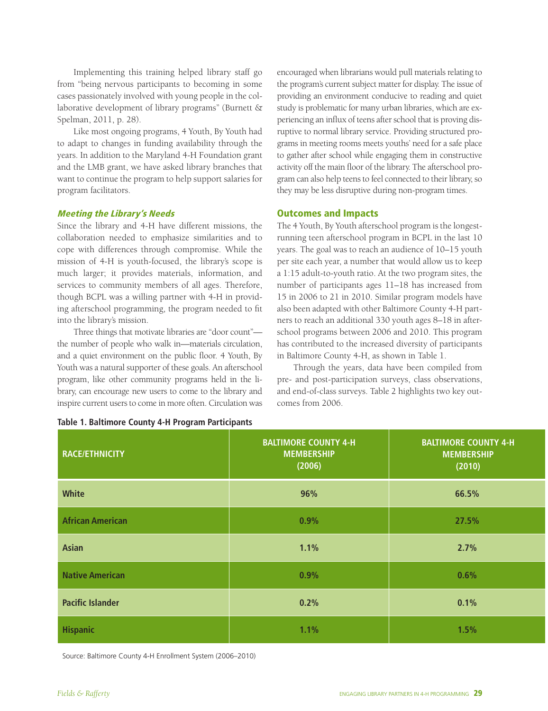Implementing this training helped library staff go from "being nervous participants to becoming in some cases passionately involved with young people in the collaborative development of library programs" (Burnett & Spelman, 2011, p. 28).

Like most ongoing programs, 4 Youth, By Youth had to adapt to changes in funding availability through the years. In addition to the Maryland 4-H Foundation grant and the LMB grant, we have asked library branches that want to continue the program to help support salaries for program facilitators.

# Meeting the Library's Needs

Since the library and 4-H have different missions, the collaboration needed to emphasize similarities and to cope with differences through compromise. While the mission of 4-H is youth-focused, the library's scope is much larger; it provides materials, information, and services to community members of all ages. Therefore, though BCPL was a willing partner with 4-H in providing afterschool programming, the program needed to fit into the library's mission.

Three things that motivate libraries are "door count" the number of people who walk in—materials circulation, and a quiet environment on the public floor. 4 Youth, By Youth was a natural supporter of these goals. An afterschool program, like other community programs held in the library, can encourage new users to come to the library and inspire current users to come in more often. Circulation was encouraged when librarians would pull materials relating to the program's current subject matter for display. The issue of providing an environment conducive to reading and quiet study is problematic for many urban libraries, which are experiencing an influx of teens after school that is proving disruptive to normal library service. Providing structured programs in meeting rooms meets youths' need for a safe place to gather after school while engaging them in constructive activity off the main floor of the library. The afterschool program can also help teens to feel connected to their library, so they may be less disruptive during non-program times.

# Outcomes and Impacts

The 4 Youth, By Youth afterschool program is the longestrunning teen afterschool program in BCPL in the last 10 years. The goal was to reach an audience of 10–15 youth per site each year, a number that would allow us to keep a 1:15 adult-to-youth ratio. At the two program sites, the number of participants ages 11–18 has increased from 15 in 2006 to 21 in 2010. Similar program models have also been adapted with other Baltimore County 4-H partners to reach an additional 330 youth ages 8–18 in afterschool programs between 2006 and 2010. This program has contributed to the increased diversity of participants in Baltimore County 4-H, as shown in Table 1.

Through the years, data have been compiled from pre- and post-participation surveys, class observations, and end-of-class surveys. Table 2 highlights two key outcomes from 2006.

| <b>RACE/ETHNICITY</b>   | <b>BALTIMORE COUNTY 4-H</b><br><b>MEMBERSHIP</b><br>(2006) | <b>BALTIMORE COUNTY 4-H</b><br><b>MEMBERSHIP</b><br>(2010) |  |
|-------------------------|------------------------------------------------------------|------------------------------------------------------------|--|
| <b>White</b>            | 96%                                                        | 66.5%                                                      |  |
| <b>African American</b> | 0.9%                                                       | 27.5%                                                      |  |
| <b>Asian</b>            | 1.1%                                                       | 2.7%                                                       |  |
| <b>Native American</b>  | 0.9%                                                       | 0.6%                                                       |  |
| <b>Pacific Islander</b> | 0.2%                                                       | 0.1%                                                       |  |
| <b>Hispanic</b>         | 1.1%                                                       | 1.5%                                                       |  |

#### **Table 1. Baltimore County 4-H Program Participants**

Source: Baltimore County 4-H Enrollment System (2006–2010)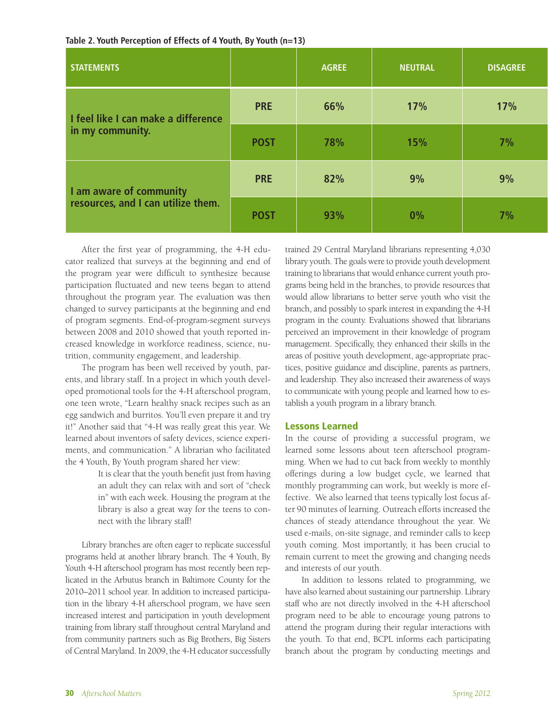| Table 2. Youth Perception of Effects of 4 Youth, By Youth (n=13) |  |
|------------------------------------------------------------------|--|
|------------------------------------------------------------------|--|

| <b>STATEMENTS</b>                                             |             | <b>AGREE</b> | <b>NEUTRAL</b> | <b>DISAGREE</b> |
|---------------------------------------------------------------|-------------|--------------|----------------|-----------------|
| I feel like I can make a difference<br>in my community.       | <b>PRE</b>  | 66%          | 17%            | 17%             |
|                                                               | <b>POST</b> | 78%          | 15%            | 7%              |
| I am aware of community<br>resources, and I can utilize them. | <b>PRE</b>  | 82%          | 9%             | 9%              |
|                                                               | <b>POST</b> | 93%          | $0\%$          | 7%              |

After the first year of programming, the 4-H educator realized that surveys at the beginning and end of the program year were difficult to synthesize because participation fluctuated and new teens began to attend throughout the program year. The evaluation was then changed to survey participants at the beginning and end of program segments. End-of-program-segment surveys between 2008 and 2010 showed that youth reported increased knowledge in workforce readiness, science, nutrition, community engagement, and leadership.

The program has been well received by youth, parents, and library staff. In a project in which youth developed promotional tools for the 4-H afterschool program, one teen wrote, "Learn healthy snack recipes such as an egg sandwich and burritos. You'll even prepare it and try it!" Another said that "4-H was really great this year. We learned about inventors of safety devices, science experiments, and communication." A librarian who facilitated the 4 Youth, By Youth program shared her view:

> It is clear that the youth benefit just from having an adult they can relax with and sort of "check in" with each week. Housing the program at the library is also a great way for the teens to connect with the library staff!

Library branches are often eager to replicate successful programs held at another library branch. The 4 Youth, By Youth 4-H afterschool program has most recently been replicated in the Arbutus branch in Baltimore County for the 2010–2011 school year. In addition to increased participation in the library 4-H afterschool program, we have seen increased interest and participation in youth development training from library staff throughout central Maryland and from community partners such as Big Brothers, Big Sisters of Central Maryland. In 2009, the 4-H educator successfully trained 29 Central Maryland librarians representing 4,030 library youth. The goals were to provide youth development training to librarians that would enhance current youth programs being held in the branches, to provide resources that would allow librarians to better serve youth who visit the branch, and possibly to spark interest in expanding the 4-H program in the county. Evaluations showed that librarians perceived an improvement in their knowledge of program management. Specifically, they enhanced their skills in the areas of positive youth development, age-appropriate practices, positive guidance and discipline, parents as partners, and leadership. They also increased their awareness of ways to communicate with young people and learned how to establish a youth program in a library branch.

# Lessons Learned

In the course of providing a successful program, we learned some lessons about teen afterschool programming. When we had to cut back from weekly to monthly offerings during a low budget cycle, we learned that monthly programming can work, but weekly is more effective. We also learned that teens typically lost focus after 90 minutes of learning. Outreach efforts increased the chances of steady attendance throughout the year. We used e-mails, on-site signage, and reminder calls to keep youth coming. Most importantly, it has been crucial to remain current to meet the growing and changing needs and interests of our youth.

In addition to lessons related to programming, we have also learned about sustaining our partnership. Library staff who are not directly involved in the 4-H afterschool program need to be able to encourage young patrons to attend the program during their regular interactions with the youth. To that end, BCPL informs each participating branch about the program by conducting meetings and